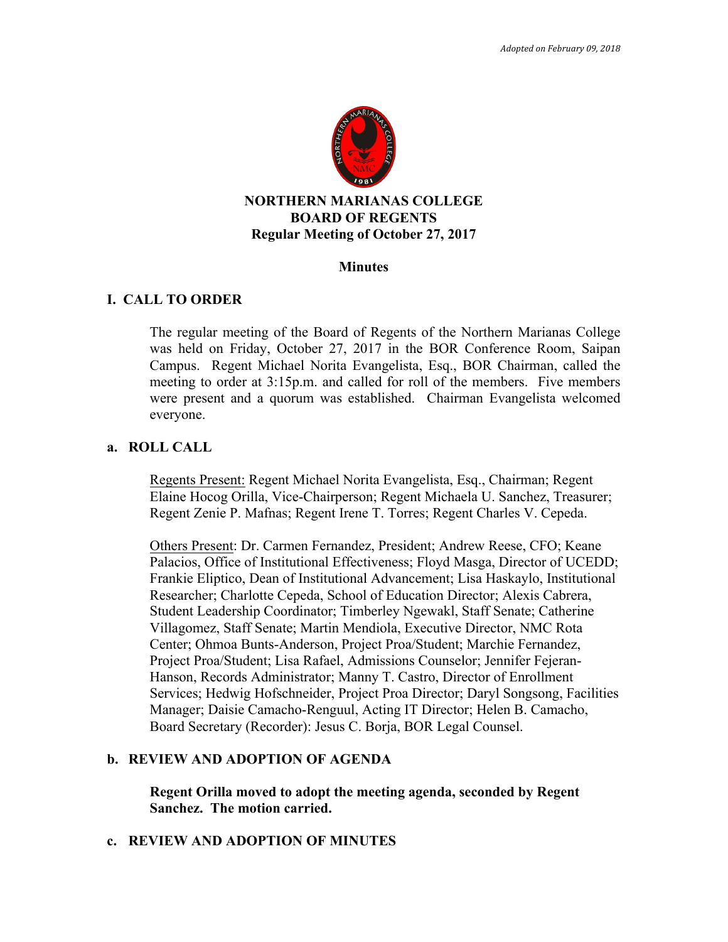

#### **Minutes**

#### **I. CALL TO ORDER**

The regular meeting of the Board of Regents of the Northern Marianas College was held on Friday, October 27, 2017 in the BOR Conference Room, Saipan Campus. Regent Michael Norita Evangelista, Esq., BOR Chairman, called the meeting to order at 3:15p.m. and called for roll of the members. Five members were present and a quorum was established. Chairman Evangelista welcomed everyone.

#### **a. ROLL CALL**

Regents Present: Regent Michael Norita Evangelista, Esq., Chairman; Regent Elaine Hocog Orilla, Vice-Chairperson; Regent Michaela U. Sanchez, Treasurer; Regent Zenie P. Mafnas; Regent Irene T. Torres; Regent Charles V. Cepeda.

Others Present: Dr. Carmen Fernandez, President; Andrew Reese, CFO; Keane Palacios, Office of Institutional Effectiveness; Floyd Masga, Director of UCEDD; Frankie Eliptico, Dean of Institutional Advancement; Lisa Haskaylo, Institutional Researcher; Charlotte Cepeda, School of Education Director; Alexis Cabrera, Student Leadership Coordinator; Timberley Ngewakl, Staff Senate; Catherine Villagomez, Staff Senate; Martin Mendiola, Executive Director, NMC Rota Center; Ohmoa Bunts-Anderson, Project Proa/Student; Marchie Fernandez, Project Proa/Student; Lisa Rafael, Admissions Counselor; Jennifer Fejeran-Hanson, Records Administrator; Manny T. Castro, Director of Enrollment Services; Hedwig Hofschneider, Project Proa Director; Daryl Songsong, Facilities Manager; Daisie Camacho-Renguul, Acting IT Director; Helen B. Camacho, Board Secretary (Recorder): Jesus C. Borja, BOR Legal Counsel.

### **b. REVIEW AND ADOPTION OF AGENDA**

**Regent Orilla moved to adopt the meeting agenda, seconded by Regent Sanchez. The motion carried.** 

#### **c. REVIEW AND ADOPTION OF MINUTES**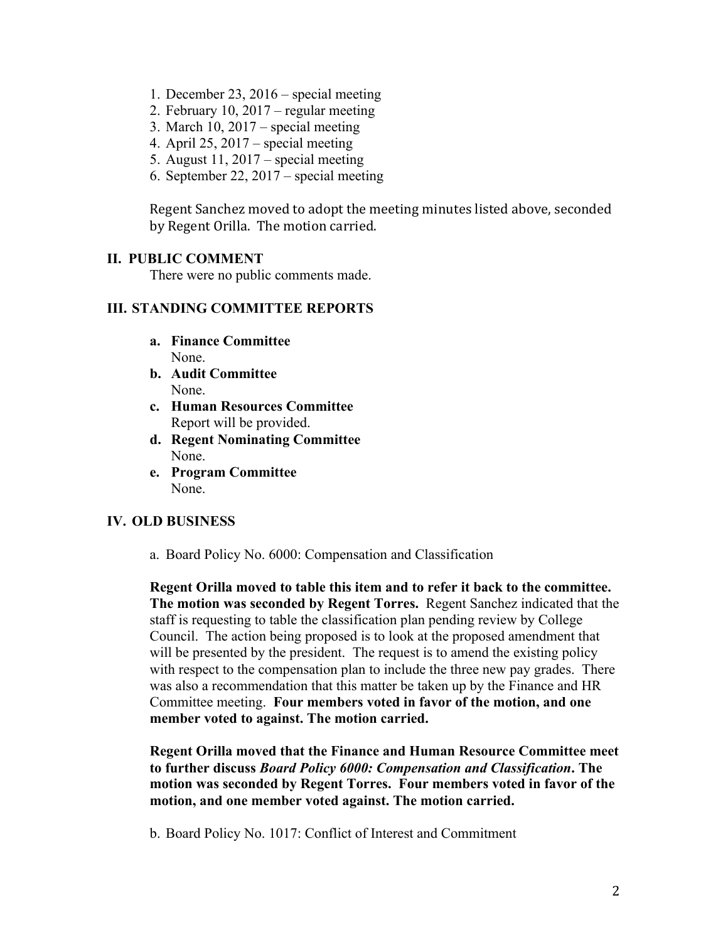- 1. December 23, 2016 special meeting
- 2. February 10, 2017 regular meeting
- 3. March 10,  $2017$  special meeting
- 4. April 25, 2017 special meeting
- 5. August 11, 2017 special meeting
- 6. September 22, 2017 special meeting

Regent Sanchez moved to adopt the meeting minutes listed above, seconded by Regent Orilla. The motion carried.

## **II. PUBLIC COMMENT**

There were no public comments made.

## **III. STANDING COMMITTEE REPORTS**

- **a. Finance Committee**  None.
- **b. Audit Committee** None.
- **c. Human Resources Committee** Report will be provided.
- **d. Regent Nominating Committee** None.
- **e. Program Committee** None.

# **IV. OLD BUSINESS**

a. Board Policy No. 6000: Compensation and Classification

**Regent Orilla moved to table this item and to refer it back to the committee. The motion was seconded by Regent Torres.** Regent Sanchez indicated that the staff is requesting to table the classification plan pending review by College Council. The action being proposed is to look at the proposed amendment that will be presented by the president. The request is to amend the existing policy with respect to the compensation plan to include the three new pay grades. There was also a recommendation that this matter be taken up by the Finance and HR Committee meeting. **Four members voted in favor of the motion, and one member voted to against. The motion carried.**

**Regent Orilla moved that the Finance and Human Resource Committee meet to further discuss** *Board Policy 6000: Compensation and Classification***. The motion was seconded by Regent Torres. Four members voted in favor of the motion, and one member voted against. The motion carried.** 

b. Board Policy No. 1017: Conflict of Interest and Commitment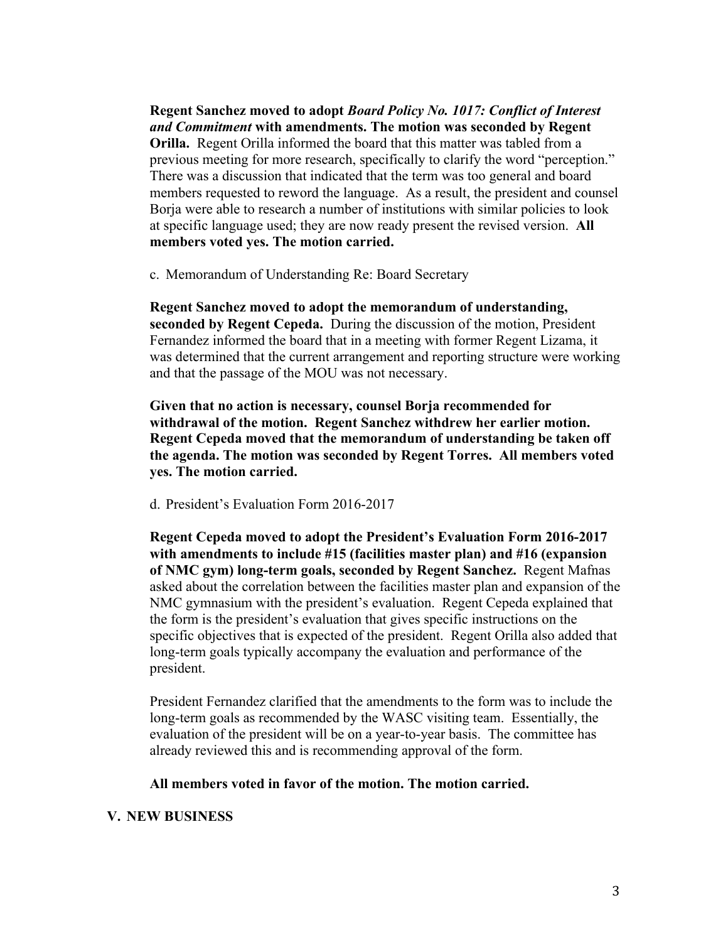**Regent Sanchez moved to adopt** *Board Policy No. 1017: Conflict of Interest and Commitment* **with amendments. The motion was seconded by Regent Orilla.** Regent Orilla informed the board that this matter was tabled from a previous meeting for more research, specifically to clarify the word "perception." There was a discussion that indicated that the term was too general and board members requested to reword the language. As a result, the president and counsel Borja were able to research a number of institutions with similar policies to look at specific language used; they are now ready present the revised version. **All members voted yes. The motion carried.** 

c. Memorandum of Understanding Re: Board Secretary

**Regent Sanchez moved to adopt the memorandum of understanding, seconded by Regent Cepeda.** During the discussion of the motion, President Fernandez informed the board that in a meeting with former Regent Lizama, it was determined that the current arrangement and reporting structure were working and that the passage of the MOU was not necessary.

**Given that no action is necessary, counsel Borja recommended for withdrawal of the motion. Regent Sanchez withdrew her earlier motion. Regent Cepeda moved that the memorandum of understanding be taken off the agenda. The motion was seconded by Regent Torres. All members voted yes. The motion carried.** 

d. President's Evaluation Form 2016-2017

**Regent Cepeda moved to adopt the President's Evaluation Form 2016-2017 with amendments to include #15 (facilities master plan) and #16 (expansion of NMC gym) long-term goals, seconded by Regent Sanchez.** Regent Mafnas asked about the correlation between the facilities master plan and expansion of the NMC gymnasium with the president's evaluation. Regent Cepeda explained that the form is the president's evaluation that gives specific instructions on the specific objectives that is expected of the president. Regent Orilla also added that long-term goals typically accompany the evaluation and performance of the president.

President Fernandez clarified that the amendments to the form was to include the long-term goals as recommended by the WASC visiting team. Essentially, the evaluation of the president will be on a year-to-year basis. The committee has already reviewed this and is recommending approval of the form.

#### **All members voted in favor of the motion. The motion carried.**

#### **V. NEW BUSINESS**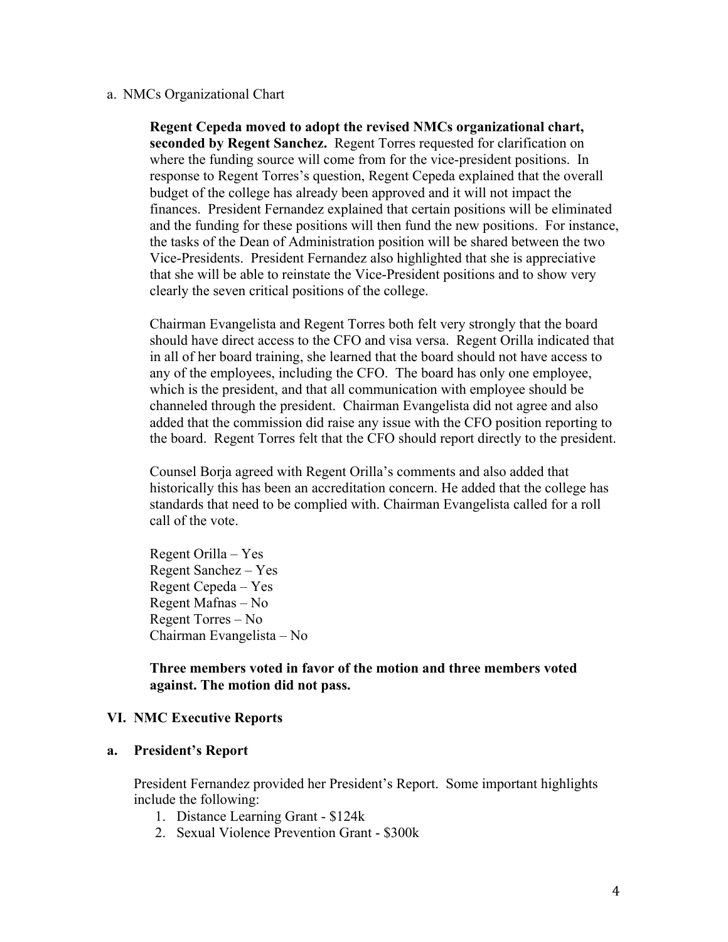#### a. NMCs Organizational Chart

**Regent Cepeda moved to adopt the revised NMCs organizational chart, seconded by Regent Sanchez.** Regent Torres requested for clarification on where the funding source will come from for the vice-president positions. In response to Regent Torres's question, Regent Cepeda explained that the overall budget of the college has already been approved and it will not impact the finances. President Fernandez explained that certain positions will be eliminated and the funding for these positions will then fund the new positions. For instance, the tasks of the Dean of Administration position will be shared between the two Vice-Presidents. President Fernandez also highlighted that she is appreciative that she will be able to reinstate the Vice-President positions and to show very clearly the seven critical positions of the college.

Chairman Evangelista and Regent Torres both felt very strongly that the board should have direct access to the CFO and visa versa. Regent Orilla indicated that in all of her board training, she learned that the board should not have access to any of the employees, including the CFO. The board has only one employee, which is the president, and that all communication with employee should be channeled through the president. Chairman Evangelista did not agree and also added that the commission did raise any issue with the CFO position reporting to the board. Regent Torres felt that the CFO should report directly to the president.

Counsel Borja agreed with Regent Orilla's comments and also added that historically this has been an accreditation concern. He added that the college has standards that need to be complied with. Chairman Evangelista called for a roll call of the vote.

Regent Orilla – Yes Regent Sanchez – Yes Regent Cepeda – Yes Regent Mafnas – No Regent Torres – No Chairman Evangelista – No

**Three members voted in favor of the motion and three members voted against. The motion did not pass.** 

### **VI. NMC Executive Reports**

### **a. President's Report**

President Fernandez provided her President's Report. Some important highlights include the following:

- 1. Distance Learning Grant \$124k
- 2. Sexual Violence Prevention Grant \$300k